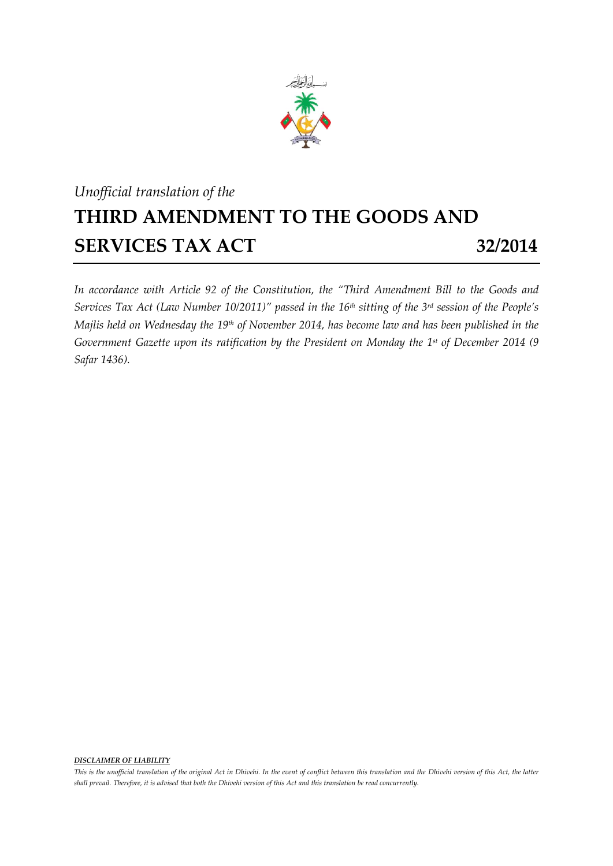

## *Unofficial translation of the* **THIRD AMENDMENT TO THE GOODS AND SERVICES TAX ACT 32/2014**

*In accordance with Article 92 of the Constitution, the "Third Amendment Bill to the Goods and Services Tax Act (Law Number 10/2011)" passed in the 16th sitting of the 3 rd session of the People's Majlis held on Wednesday the 19 th of November 2014, has become law and has been published in the Government Gazette upon its ratification by the President on Monday the 1 st of December 2014 (9 Safar 1436).*

*DISCLAIMER OF LIABILITY*

*This is the unofficial translation of the original Act in Dhivehi. In the event of conflict between this translation and the Dhivehi version of this Act, the latter shall prevail. Therefore, it is advised that both the Dhivehi version of this Act and this translation be read concurrently.*